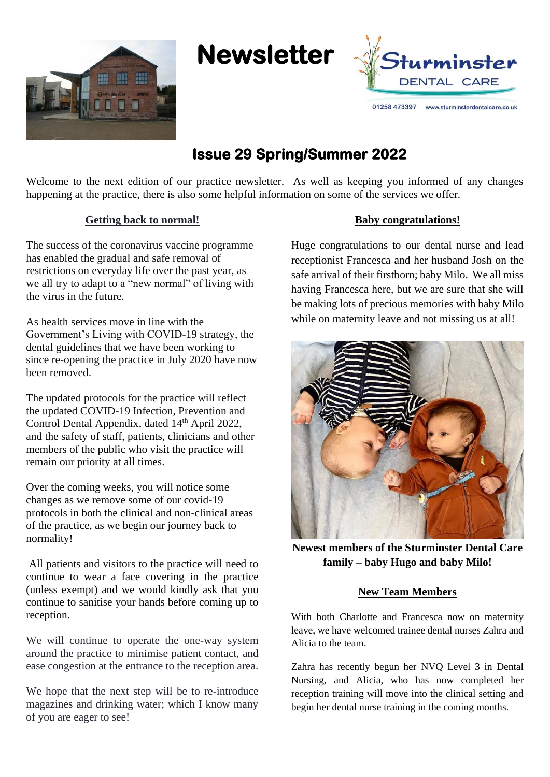





01258 473397 www.sturminsterdentalcare.co.uk

# **Issue 29 Spring/Summer 2022**

Welcome to the next edition of our practice newsletter. As well as keeping you informed of any changes happening at the practice, there is also some helpful information on some of the services we offer.

## **Getting back to normal!**

The success of the coronavirus vaccine programme has enabled the gradual and safe removal of restrictions on everyday life over the past year, as we all try to adapt to a "new normal" of living with the virus in the future.

As health services move in line with the Government's Living with COVID-19 strategy, the dental guidelines that we have been working to since re-opening the practice in July 2020 have now been removed.

The updated protocols for the practice will reflect the updated COVID-19 Infection, Prevention and Control Dental Appendix, dated 14<sup>th</sup> April 2022, and the safety of staff, patients, clinicians and other members of the public who visit the practice will remain our priority at all times.

Over the coming weeks, you will notice some changes as we remove some of our covid-19 protocols in both the clinical and non-clinical areas of the practice, as we begin our journey back to normality!

All patients and visitors to the practice will need to continue to wear a face covering in the practice (unless exempt) and we would kindly ask that you continue to sanitise your hands before coming up to reception.

We will continue to operate the one-way system around the practice to minimise patient contact, and ease congestion at the entrance to the reception area.

We hope that the next step will be to re-introduce magazines and drinking water; which I know many of you are eager to see!

#### **Baby congratulations!**

Huge congratulations to our dental nurse and lead receptionist Francesca and her husband Josh on the safe arrival of their firstborn; baby Milo. We all miss having Francesca here, but we are sure that she will be making lots of precious memories with baby Milo while on maternity leave and not missing us at all!



**Newest members of the Sturminster Dental Care family – baby Hugo and baby Milo!**

# **New Team Members**

With both Charlotte and Francesca now on maternity leave, we have welcomed trainee dental nurses Zahra and Alicia to the team.

Zahra has recently begun her NVQ Level 3 in Dental Nursing, and Alicia, who has now completed her reception training will move into the clinical setting and begin her dental nurse training in the coming months.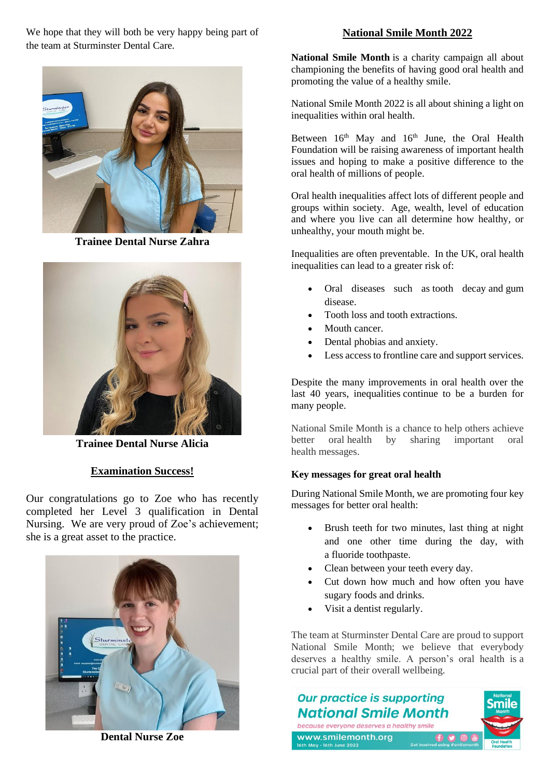We hope that they will both be very happy being part of the team at Sturminster Dental Care.



**Trainee Dental Nurse Zahra**



**Trainee Dental Nurse Alicia**

## **Examination Success!**

Our congratulations go to Zoe who has recently completed her Level 3 qualification in Dental Nursing. We are very proud of Zoe's achievement; she is a great asset to the practice.



**Dental Nurse Zoe**

## **National Smile Month 2022**

**National Smile Month** is a charity campaign all about championing the benefits of having good oral health and promoting the value of a healthy smile.

National Smile Month 2022 is all about shining a light on inequalities within oral health.

Between 16<sup>th</sup> May and 16<sup>th</sup> June, the Oral Health Foundation will be raising awareness of important health issues and hoping to make a positive difference to the oral health of millions of people.

Oral health inequalities affect lots of different people and groups within society. Age, wealth, level of education and where you live can all determine how healthy, or unhealthy, your mouth might be.

Inequalities are often preventable. In the UK, oral health inequalities can lead to a greater risk of:

- Oral diseases such as [tooth decay](https://www.dentalhealth.org/dental-decay) and [gum](https://www.dentalhealth.org/gum-disease)  [disease.](https://www.dentalhealth.org/gum-disease)
- Tooth loss and tooth extractions.
- [Mouth cancer.](https://www.dentalhealth.org/mouth-cancer)
- Dental phobias and anxiety.
- Less access to frontline care and support services.

Despite the many improvements in oral health over the last 40 years, inequalities continue to be a burden for many people.

National Smile Month is a chance to help others achieve better oral health by sharing important oral health messages.

## **Key messages for great oral health**

During National Smile Month, we are promoting four key messages for better oral health:

- Brush teeth for two minutes, last thing at night and one other time during the day, with a [fluoride](https://www.dentalhealth.org/fluoride) toothpaste.
- Clean between your teeth every day.
- Cut down how much and how often you have sugary foods and drinks.
- Visit a dentist regularly.

The team at Sturminster Dental Care are proud to support National Smile Month; we believe that everybody deserves a healthy smile. A person's oral health is a crucial part of their overall wellbeing.